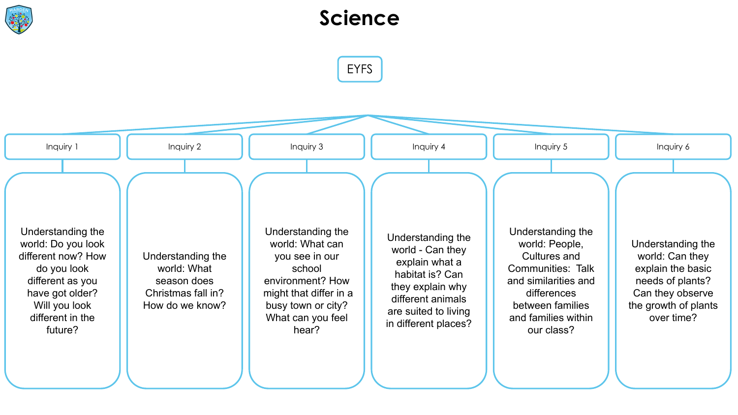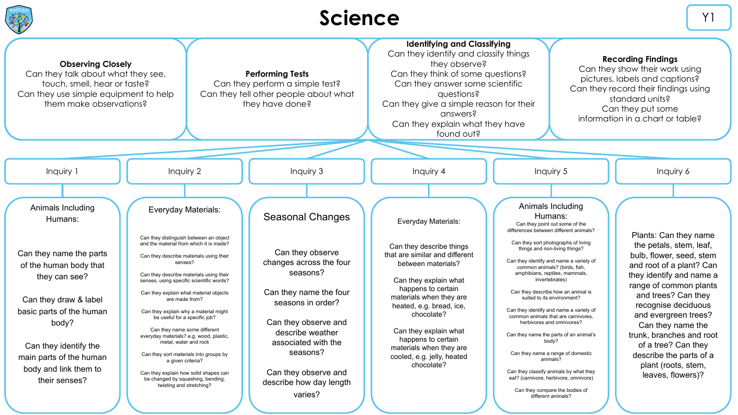

## Science **V1**

| <b>Observing Closely</b><br>Can they talk about what they see,<br>touch, smell, hear or taste?<br>Can they use simple equipment to help<br>them make observations?                                                                                             |                                                                                                                                                                                                                                                                                                                                                                                                                                                                                                                                                                                                                                                                          | <b>Performing Tests</b><br>Can they perform a simple test?<br>Can they tell other people about what<br>they have done?                                                                                                                                                  | <b>Identifying and Classifying</b><br>Can they identify and classify things<br><b>Recording Findings</b><br>they observe?<br>Can they show their work using<br>Can they think of some questions?<br>pictures, labels and captions?<br>Can they answer some scientific<br>Can they record their findings using<br>questions?<br>standard units?<br>Can they give a simple reason for their<br>Can they put some<br>answers?<br>information in a chart or table?<br>Can they explain what they have<br>found out? |                                                                                                                                                                                                                                                                                                                                                                                                                                                                                                                                                                                                                                                                                                                                                   |                                                                                                                                                                                                                                                                                                                                                                                     |
|----------------------------------------------------------------------------------------------------------------------------------------------------------------------------------------------------------------------------------------------------------------|--------------------------------------------------------------------------------------------------------------------------------------------------------------------------------------------------------------------------------------------------------------------------------------------------------------------------------------------------------------------------------------------------------------------------------------------------------------------------------------------------------------------------------------------------------------------------------------------------------------------------------------------------------------------------|-------------------------------------------------------------------------------------------------------------------------------------------------------------------------------------------------------------------------------------------------------------------------|-----------------------------------------------------------------------------------------------------------------------------------------------------------------------------------------------------------------------------------------------------------------------------------------------------------------------------------------------------------------------------------------------------------------------------------------------------------------------------------------------------------------|---------------------------------------------------------------------------------------------------------------------------------------------------------------------------------------------------------------------------------------------------------------------------------------------------------------------------------------------------------------------------------------------------------------------------------------------------------------------------------------------------------------------------------------------------------------------------------------------------------------------------------------------------------------------------------------------------------------------------------------------------|-------------------------------------------------------------------------------------------------------------------------------------------------------------------------------------------------------------------------------------------------------------------------------------------------------------------------------------------------------------------------------------|
| Inquiry 1                                                                                                                                                                                                                                                      | Inquiry 2                                                                                                                                                                                                                                                                                                                                                                                                                                                                                                                                                                                                                                                                | Inquiry 3                                                                                                                                                                                                                                                               | Inquiry 4                                                                                                                                                                                                                                                                                                                                                                                                                                                                                                       | Inquiry 5                                                                                                                                                                                                                                                                                                                                                                                                                                                                                                                                                                                                                                                                                                                                         | Inquiry 6                                                                                                                                                                                                                                                                                                                                                                           |
| Animals Including<br>Humans:<br>Can they name the parts<br>of the human body that<br>they can see?<br>Can they draw & label<br>basic parts of the human<br>body?<br>Can they identify the<br>main parts of the human<br>body and link them to<br>their senses? | Everyday Materials:<br>Can they distinguish between an object<br>and the material from which it is made?<br>Can they describe materials using their<br>senses?<br>Can they describe materials using their<br>senses, using specific scientific words?<br>Can they explain what material objects<br>are made from?<br>Can they explain why a material might<br>be useful for a specific job?<br>Can they name some different<br>everyday materials? e.g. wood, plastic,<br>metal, water and rock<br>Can they sort materials into groups by<br>a given criteria?<br>Can they explain how solid shapes can<br>be changed by squashing, bending,<br>twisting and stretching? | Seasonal Changes<br>Can they observe<br>changes across the four<br>seasons?<br>Can they name the four<br>seasons in order?<br>Can they observe and<br>describe weather<br>associated with the<br>seasons?<br>Can they observe and<br>describe how day length<br>varies? | Everyday Materials:<br>Can they describe things<br>that are similar and different<br>between materials?<br>Can they explain what<br>happens to certain<br>materials when they are<br>heated, e.g. bread, ice,<br>chocolate?<br>Can they explain what<br>happens to certain<br>materials when they are<br>cooled, e.g. jelly, heated<br>chocolate?                                                                                                                                                               | Animals Including<br>Humans:<br>Can they point out some of the<br>differences between different animals?<br>Can they sort photographs of living<br>things and non-living things?<br>Can they identify and name a variety of<br>common animals? (birds, fish<br>amphibians, reptiles, mammals,<br>invertebrates)<br>Can they describe how an animal is<br>suited to its environment?<br>Can they identify and name a variety of<br>common animals that are carnivores.<br>herbivores and omnivores?<br>Can they name the parts of an animal's<br>body?<br>Can they name a range of domestic<br>animals?<br>Can they classify animals by what they<br>eat? (carnivore, herbivore, omnivore)<br>Can they compare the bodies of<br>different animals? | Plants: Can they name<br>the petals, stem, leaf,<br>bulb, flower, seed, stem<br>and root of a plant? Can<br>they identify and name a<br>range of common plants<br>and trees? Can they<br>recognise deciduous<br>and evergreen trees?<br>Can they name the<br>trunk, branches and root<br>of a tree? Can they<br>describe the parts of a<br>plant (roots, stem,<br>leaves, flowers)? |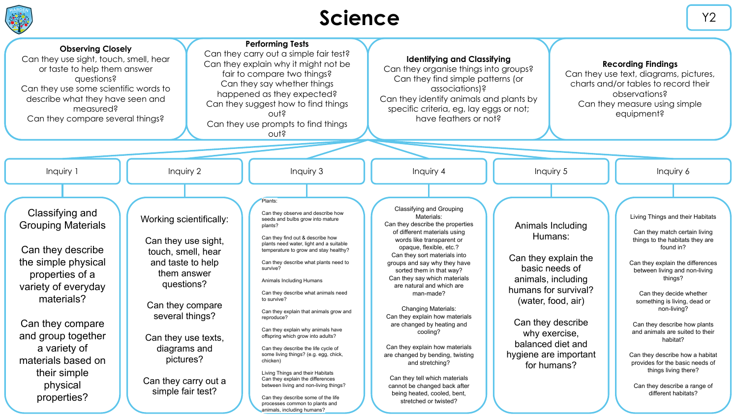

## Science  $\begin{bmatrix} \gamma_2 & \gamma_1 & \gamma_2 \\ \gamma_2 & \gamma_3 & \gamma_4 \end{bmatrix}$

| <b>Observing Closely</b><br>Can they use sight, touch, smell, hear<br>or taste to help them answer<br>questions?<br>Can they use some scientific words to<br>describe what they have seen and<br>measured?<br>Can they compare several things?                                                                                                                                                                                                                                                                                                | <b>Performing Tests</b><br>Can they carry out a simple fair test?<br>Can they explain why it might not be<br>fair to compare two things?<br>Can they say whether things<br>happened as they expected?<br>Can they suggest how to find things<br>0.115<br>Can they use prompts to find things<br>outs                                                                                                                                                                                                                                                                                                                                                                                                                                                                                                            | <b>Identifying and Classifying</b><br>Can they organise things into groups?<br>Can they find simple patterns (or<br>associations)?<br>Can they identify animals and plants by<br>specific criteria, eg, lay eggs or not;<br>have feathers or not?                                                                                                                                                                                                                                                                                                                                                                                                                    |                                                                                                                                                                                                                                               | <b>Recording Findings</b><br>Can they use text, diagrams, pictures,<br>charts and/or tables to record their<br>observations?<br>Can they measure using simple<br>equipment?                                                                                                                                                                                                                                                                                                                                     |
|-----------------------------------------------------------------------------------------------------------------------------------------------------------------------------------------------------------------------------------------------------------------------------------------------------------------------------------------------------------------------------------------------------------------------------------------------------------------------------------------------------------------------------------------------|-----------------------------------------------------------------------------------------------------------------------------------------------------------------------------------------------------------------------------------------------------------------------------------------------------------------------------------------------------------------------------------------------------------------------------------------------------------------------------------------------------------------------------------------------------------------------------------------------------------------------------------------------------------------------------------------------------------------------------------------------------------------------------------------------------------------|----------------------------------------------------------------------------------------------------------------------------------------------------------------------------------------------------------------------------------------------------------------------------------------------------------------------------------------------------------------------------------------------------------------------------------------------------------------------------------------------------------------------------------------------------------------------------------------------------------------------------------------------------------------------|-----------------------------------------------------------------------------------------------------------------------------------------------------------------------------------------------------------------------------------------------|-----------------------------------------------------------------------------------------------------------------------------------------------------------------------------------------------------------------------------------------------------------------------------------------------------------------------------------------------------------------------------------------------------------------------------------------------------------------------------------------------------------------|
|                                                                                                                                                                                                                                                                                                                                                                                                                                                                                                                                               |                                                                                                                                                                                                                                                                                                                                                                                                                                                                                                                                                                                                                                                                                                                                                                                                                 |                                                                                                                                                                                                                                                                                                                                                                                                                                                                                                                                                                                                                                                                      |                                                                                                                                                                                                                                               |                                                                                                                                                                                                                                                                                                                                                                                                                                                                                                                 |
| Inquiry 1<br>Inquiry 2                                                                                                                                                                                                                                                                                                                                                                                                                                                                                                                        | Inquiry 3                                                                                                                                                                                                                                                                                                                                                                                                                                                                                                                                                                                                                                                                                                                                                                                                       | Inquiry 4                                                                                                                                                                                                                                                                                                                                                                                                                                                                                                                                                                                                                                                            | Inquiry 5                                                                                                                                                                                                                                     | Inquiry 6                                                                                                                                                                                                                                                                                                                                                                                                                                                                                                       |
|                                                                                                                                                                                                                                                                                                                                                                                                                                                                                                                                               |                                                                                                                                                                                                                                                                                                                                                                                                                                                                                                                                                                                                                                                                                                                                                                                                                 |                                                                                                                                                                                                                                                                                                                                                                                                                                                                                                                                                                                                                                                                      |                                                                                                                                                                                                                                               |                                                                                                                                                                                                                                                                                                                                                                                                                                                                                                                 |
| Classifying and<br>Working scientifically:<br><b>Grouping Materials</b><br>Can they use sight,<br>Can they describe<br>touch, smell, hear<br>the simple physical<br>and taste to help<br>them answer<br>properties of a<br>questions?<br>variety of everyday<br>materials?<br>Can they compare<br>several things?<br>Can they compare<br>and group together<br>Can they use texts,<br>a variety of<br>diagrams and<br>pictures?<br>materials based on<br>their simple<br>Can they carry out a<br>physical<br>simple fair test?<br>properties? | Plants:<br>Can they observe and describe how<br>seeds and bulbs grow into mature<br>plants?<br>Can they find out & describe how<br>plants need water, light and a suitable<br>temperature to grow and stay healthy?<br>Can they describe what plants need to<br>survive?<br>Animals Including Humans<br>Can they describe what animals need<br>to survive?<br>Can they explain that animals grow and<br>reproduce?<br>Can they explain why animals have<br>offspring which grow into adults?<br>Can they describe the life cycle of<br>some living things? (e.g. egg, chick,<br>chicken)<br>Living Things and their Habitats<br>Can they explain the differences<br>between living and non-living things?<br>Can they describe some of the life<br>processes common to plants and<br>animals, including humans? | Classifying and Grouping<br>Materials:<br>Can they describe the properties<br>of different materials using<br>words like transparent or<br>opaque, flexible, etc.?<br>Can they sort materials into<br>groups and say why they have<br>sorted them in that way?<br>Can they say which materials<br>are natural and which are<br>man-made?<br><b>Changing Materials:</b><br>Can they explain how materials<br>are changed by heating and<br>cooling?<br>Can they explain how materials<br>are changed by bending, twisting<br>and stretching?<br>Can they tell which materials<br>cannot be changed back after<br>being heated, cooled, bent,<br>stretched or twisted? | Animals Including<br>Humans:<br>Can they explain the<br>basic needs of<br>animals, including<br>humans for survival?<br>(water, food, air)<br>Can they describe<br>why exercise,<br>balanced diet and<br>hygiene are important<br>for humans? | Living Things and their Habitats<br>Can they match certain living<br>things to the habitats they are<br>found in?<br>Can they explain the differences<br>between living and non-living<br>things?<br>Can they decide whether<br>something is living, dead or<br>non-living?<br>Can they describe how plants<br>and animals are suited to their<br>habitat?<br>Can they describe how a habitat<br>provides for the basic needs of<br>things living there?<br>Can they describe a range of<br>different habitats? |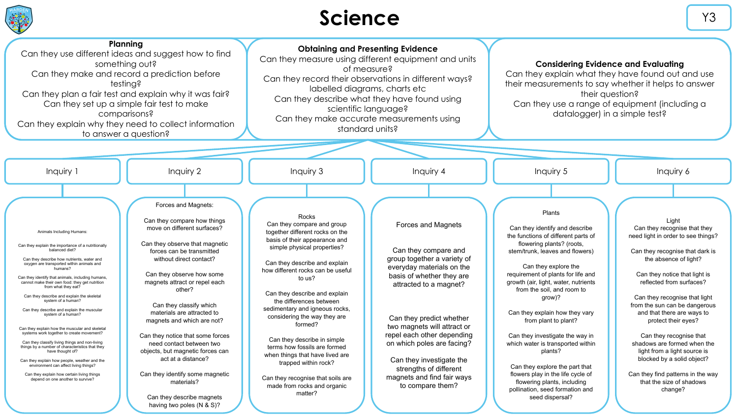

# Science **Y3**

| Planning<br>Can they use different ideas and suggest how to find<br>something out?<br>Can they make and record a prediction before<br>testina?<br>Can they plan a fair test and explain why it was fair?<br>Can they set up a simple fair test to make<br>comparisons?<br>Can they explain why they need to collect information<br>to answer a question?                                                                                                                                                                                                                                                                                                                                                                                                                                                                                                                          |                                                                                                                                                                                                                                                                                                                                                                                                                                                                                                                                                                                 | <b>Obtaining and Presenting Evidence</b><br>Can they measure using different equipment and units<br>of measure?<br>Can they record their observations in different ways?<br>labelled diagrams, charts etc<br>Can they describe what they have found using<br>scientific language?<br>Can they make accurate measurements using<br>standard units?                                                                                                                                                                                                                        |                                                                                                                                                                                                                                                                                                                                                                                              | <b>Considering Evidence and Evaluating</b><br>Can they explain what they have found out and use<br>their measurements to say whether it helps to answer<br>their question?<br>Can they use a range of equipment (including a<br>datalogger) in a simple test?                                                                                                                                                                                                                                                                                                                                          |                                                                                                                                                                                                                                                                                                                                                                                                                                                                                                                                 |
|-----------------------------------------------------------------------------------------------------------------------------------------------------------------------------------------------------------------------------------------------------------------------------------------------------------------------------------------------------------------------------------------------------------------------------------------------------------------------------------------------------------------------------------------------------------------------------------------------------------------------------------------------------------------------------------------------------------------------------------------------------------------------------------------------------------------------------------------------------------------------------------|---------------------------------------------------------------------------------------------------------------------------------------------------------------------------------------------------------------------------------------------------------------------------------------------------------------------------------------------------------------------------------------------------------------------------------------------------------------------------------------------------------------------------------------------------------------------------------|--------------------------------------------------------------------------------------------------------------------------------------------------------------------------------------------------------------------------------------------------------------------------------------------------------------------------------------------------------------------------------------------------------------------------------------------------------------------------------------------------------------------------------------------------------------------------|----------------------------------------------------------------------------------------------------------------------------------------------------------------------------------------------------------------------------------------------------------------------------------------------------------------------------------------------------------------------------------------------|--------------------------------------------------------------------------------------------------------------------------------------------------------------------------------------------------------------------------------------------------------------------------------------------------------------------------------------------------------------------------------------------------------------------------------------------------------------------------------------------------------------------------------------------------------------------------------------------------------|---------------------------------------------------------------------------------------------------------------------------------------------------------------------------------------------------------------------------------------------------------------------------------------------------------------------------------------------------------------------------------------------------------------------------------------------------------------------------------------------------------------------------------|
|                                                                                                                                                                                                                                                                                                                                                                                                                                                                                                                                                                                                                                                                                                                                                                                                                                                                                   |                                                                                                                                                                                                                                                                                                                                                                                                                                                                                                                                                                                 |                                                                                                                                                                                                                                                                                                                                                                                                                                                                                                                                                                          |                                                                                                                                                                                                                                                                                                                                                                                              |                                                                                                                                                                                                                                                                                                                                                                                                                                                                                                                                                                                                        |                                                                                                                                                                                                                                                                                                                                                                                                                                                                                                                                 |
| Inquiry 1                                                                                                                                                                                                                                                                                                                                                                                                                                                                                                                                                                                                                                                                                                                                                                                                                                                                         | Inquiry 2                                                                                                                                                                                                                                                                                                                                                                                                                                                                                                                                                                       | Inquiry 3                                                                                                                                                                                                                                                                                                                                                                                                                                                                                                                                                                | Inquiry 4                                                                                                                                                                                                                                                                                                                                                                                    | Inquiry 5                                                                                                                                                                                                                                                                                                                                                                                                                                                                                                                                                                                              | Inquiry 6                                                                                                                                                                                                                                                                                                                                                                                                                                                                                                                       |
|                                                                                                                                                                                                                                                                                                                                                                                                                                                                                                                                                                                                                                                                                                                                                                                                                                                                                   |                                                                                                                                                                                                                                                                                                                                                                                                                                                                                                                                                                                 |                                                                                                                                                                                                                                                                                                                                                                                                                                                                                                                                                                          |                                                                                                                                                                                                                                                                                                                                                                                              |                                                                                                                                                                                                                                                                                                                                                                                                                                                                                                                                                                                                        |                                                                                                                                                                                                                                                                                                                                                                                                                                                                                                                                 |
| Animals Including Humans:<br>Can they explain the importance of a nutritionally<br>balanced diet?<br>Can they describe how nutrients, water and<br>oxygen are transported within animals and<br>humans?<br>Can they identify that animals, including humans,<br>cannot make their own food: they get nutrition<br>from what they eat?<br>Can they describe and explain the skeletal<br>system of a human?<br>Can they describe and explain the muscular<br>system of a human?<br>Can they explain how the muscular and skeletal<br>systems work together to create movement?<br>Can they classify living things and non-living<br>things by a number of characteristics that they<br>have thought of?<br>Can they explain how people, weather and the<br>environment can affect living things?<br>Can they explain how certain living things<br>depend on one another to survive? | Forces and Magnets:<br>Can they compare how things<br>move on different surfaces?<br>Can they observe that magnetic<br>forces can be transmitted<br>without direct contact?<br>Can they observe how some<br>magnets attract or repel each<br>other?<br>Can they classify which<br>materials are attracted to<br>magnets and which are not?<br>Can they notice that some forces<br>need contact between two<br>objects, but magnetic forces can<br>act at a distance?<br>Can they identify some magnetic<br>materials?<br>Can they describe magnets<br>having two poles (N & S)? | Rocks<br>Can they compare and group<br>together different rocks on the<br>basis of their appearance and<br>simple physical properties?<br>Can they describe and explain<br>how different rocks can be useful<br>to us?<br>Can they describe and explain<br>the differences between<br>sedimentary and igneous rocks,<br>considering the way they are<br>formed?<br>Can they describe in simple<br>terms how fossils are formed<br>when things that have lived are<br>trapped within rock?<br>Can they recognise that soils are<br>made from rocks and organic<br>matter? | Forces and Magnets<br>Can they compare and<br>group together a variety of<br>everyday materials on the<br>basis of whether they are<br>attracted to a magnet?<br>Can they predict whether<br>two magnets will attract or<br>repel each other depending<br>on which poles are facing?<br>Can they investigate the<br>strengths of different<br>magnets and find fair ways<br>to compare them? | Plants<br>Can they identify and describe<br>the functions of different parts of<br>flowering plants? (roots,<br>stem/trunk. leaves and flowers)<br>Can they explore the<br>requirement of plants for life and<br>growth (air, light, water, nutrients<br>from the soil, and room to<br>grow)?<br>Can they explain how they vary<br>from plant to plant?<br>Can they investigate the way in<br>which water is transported within<br>plants?<br>Can they explore the part that<br>flowers play in the life cycle of<br>flowering plants, including<br>pollination, seed formation and<br>seed dispersal? | Light<br>Can they recognise that they<br>need light in order to see things?<br>Can they recognise that dark is<br>the absence of light?<br>Can they notice that light is<br>reflected from surfaces?<br>Can they recognise that light<br>from the sun can be dangerous<br>and that there are ways to<br>protect their eyes?<br>Can they recognise that<br>shadows are formed when the<br>light from a light source is<br>blocked by a solid object?<br>Can they find patterns in the way<br>that the size of shadows<br>change? |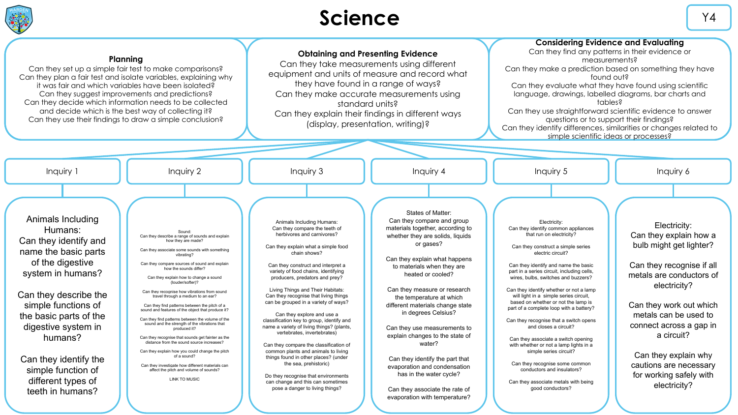

# Science  $\sqrt{4}$

|                                                                                                                                                                                                                                                                                                                             | Plannina<br>Can they set up a simple fair test to make comparisons?<br>Can they plan a fair test and isolate variables, explaining why<br>it was fair and which variables have been isolated?<br>Can they suggest improvements and predictions?<br>Can they decide which information needs to be collected<br>and decide which is the best way of collecting it?<br>Can they use their findings to draw a simple conclusion?                                                                                                                                                                                                                                                                                                                                                                                                                                                                      | <b>Obtaining and Presenting Evidence</b><br>Can they take measurements using different<br>equipment and units of measure and record what<br>they have found in a range of ways?<br>Can they make accurate measurements using<br>standard units?<br>Can they explain their findings in different ways<br>(display, presentation, writing)?                                                                                                                                                                                                                                                                                                                                                                                                                                                                    |                                                                                                                                                                                                                                                                                                                                                                                                                                                                                                                                                                                               | <b>Considering Evidence and Evaluating</b><br>Can they find any patterns in their evidence or<br>measurements?<br>Can they make a prediction based on something they have<br>found out?<br>Can they evaluate what they have found using scientific<br>language, drawings, labelled diagrams, bar charts and<br>tables?<br>Can they use straightforward scientific evidence to answer<br>questions or to support their findings?<br>Can they identify differences, similarities or changes related to<br>simple scientific ideas or processes?                                                                                                                                                                                                            |                                                                                                                                                                                                                                                                                                                                      |
|-----------------------------------------------------------------------------------------------------------------------------------------------------------------------------------------------------------------------------------------------------------------------------------------------------------------------------|---------------------------------------------------------------------------------------------------------------------------------------------------------------------------------------------------------------------------------------------------------------------------------------------------------------------------------------------------------------------------------------------------------------------------------------------------------------------------------------------------------------------------------------------------------------------------------------------------------------------------------------------------------------------------------------------------------------------------------------------------------------------------------------------------------------------------------------------------------------------------------------------------|--------------------------------------------------------------------------------------------------------------------------------------------------------------------------------------------------------------------------------------------------------------------------------------------------------------------------------------------------------------------------------------------------------------------------------------------------------------------------------------------------------------------------------------------------------------------------------------------------------------------------------------------------------------------------------------------------------------------------------------------------------------------------------------------------------------|-----------------------------------------------------------------------------------------------------------------------------------------------------------------------------------------------------------------------------------------------------------------------------------------------------------------------------------------------------------------------------------------------------------------------------------------------------------------------------------------------------------------------------------------------------------------------------------------------|----------------------------------------------------------------------------------------------------------------------------------------------------------------------------------------------------------------------------------------------------------------------------------------------------------------------------------------------------------------------------------------------------------------------------------------------------------------------------------------------------------------------------------------------------------------------------------------------------------------------------------------------------------------------------------------------------------------------------------------------------------|--------------------------------------------------------------------------------------------------------------------------------------------------------------------------------------------------------------------------------------------------------------------------------------------------------------------------------------|
| Inquiry 1                                                                                                                                                                                                                                                                                                                   | Inquiry 2                                                                                                                                                                                                                                                                                                                                                                                                                                                                                                                                                                                                                                                                                                                                                                                                                                                                                         | Inquiry 3                                                                                                                                                                                                                                                                                                                                                                                                                                                                                                                                                                                                                                                                                                                                                                                                    | Inquiry 4                                                                                                                                                                                                                                                                                                                                                                                                                                                                                                                                                                                     | Inquiry 5                                                                                                                                                                                                                                                                                                                                                                                                                                                                                                                                                                                                                                                                                                                                                | Inquiry 6                                                                                                                                                                                                                                                                                                                            |
| Animals Including<br>Humans:<br>Can they identify and<br>name the basic parts<br>of the digestive<br>system in humans?<br>Can they describe the<br>simple functions of<br>the basic parts of the<br>digestive system in<br>humans?<br>Can they identify the<br>simple function of<br>different types of<br>teeth in humans? | Sound<br>Can they describe a range of sounds and explain<br>how they are made?<br>Can they associate some sounds with something<br>vihrating?<br>Can they compare sources of sound and explain<br>how the sounds differ?<br>Can they explain how to change a sound<br>(louder/softer)?<br>Can they recognise how vibrations from sound<br>travel through a medium to an ear?<br>Can they find patterns between the pitch of a<br>sound and features of the object that produce it?<br>Can they find patterns between the volume of the<br>sound and the strength of the vibrations that<br>produced it?<br>Can they recognise that sounds get fainter as the<br>distance from the sound source increases?<br>Can they explain how you could change the pitch<br>of a sound?<br>Can they investigate how different materials can<br>affect the pitch and volume of sounds?<br><b>LINK TO MUSIC</b> | Animals Including Humans:<br>Can they compare the teeth of<br>herbivores and carnivores?<br>Can they explain what a simple food<br>chain shows?<br>Can they construct and interpret a<br>variety of food chains, identifying<br>producers, predators and prey?<br>Living Things and Their Habitats:<br>Can they recognise that living things<br>can be grouped in a variety of ways?<br>Can they explore and use a<br>classification key to group, identify and<br>name a variety of living things? (plants,<br>vertebrates, invertebrates)<br>Can they compare the classification of<br>common plants and animals to living<br>things found in other places? (under<br>the sea, prehistoric)<br>Do they recognise that environments<br>can change and this can sometimes<br>pose a danger to living things? | States of Matter:<br>Can they compare and group<br>materials together, according to<br>whether they are solids, liquids<br>or gases?<br>Can they explain what happens<br>to materials when they are<br>heated or cooled?<br>Can they measure or research<br>the temperature at which<br>different materials change state<br>in degrees Celsius?<br>Can they use measurements to<br>explain changes to the state of<br>water?<br>Can they identify the part that<br>evaporation and condensation<br>has in the water cycle?<br>Can they associate the rate of<br>evaporation with temperature? | Electricity:<br>Can they identify common appliances<br>that run on electricity?<br>Can they construct a simple series<br>electric circuit?<br>Can they identify and name the basic<br>part in a series circuit, including cells,<br>wires, bulbs, switches and buzzers?<br>Can they identify whether or not a lamp<br>will light in a simple series circuit,<br>based on whether or not the lamp is<br>part of a complete loop with a battery?<br>Can they recognise that a switch opens<br>and closes a circuit?<br>Can they associate a switch opening<br>with whether or not a lamp lights in a<br>simple series circuit?<br>Can they recognise some common<br>conductors and insulators?<br>Can they associate metals with being<br>good conductors? | Electricity:<br>Can they explain how a<br>bulb might get lighter?<br>Can they recognise if all<br>metals are conductors of<br>electricity?<br>Can they work out which<br>metals can be used to<br>connect across a gap in<br>a circuit?<br>Can they explain why<br>cautions are necessary<br>for working safely with<br>electricity? |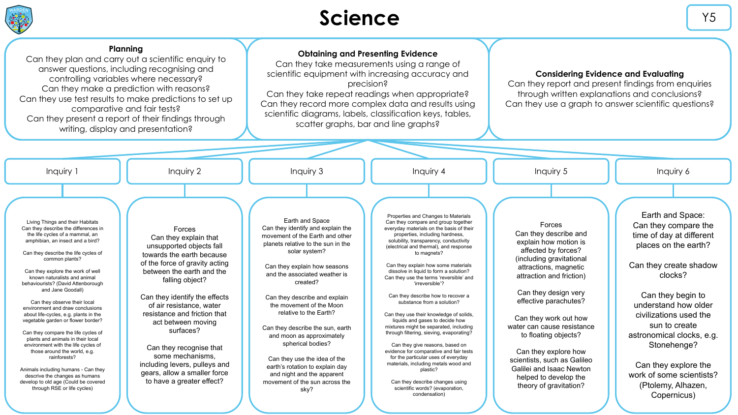

### **Science** Y5